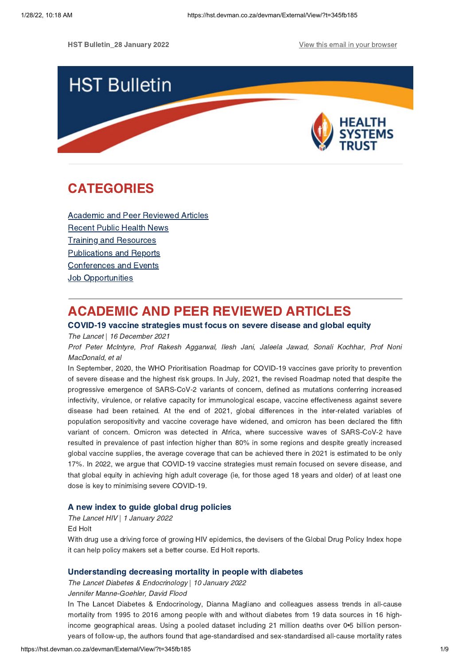HST Bulletin\_28 January 2022 **View this email in your [browser](https://hst.devman.co.za/devman/external/?t=a9a499a8&t1=345fb185)** 



# **CATEGORIES** CATEGORIES<br>CATEGORIES

Academic and Peer [Reviewed](#page-0-0) Articles [Recent](#page-2-0) Public Health News Training and Resources [Publications](#page-6-0) and Reports [Conferences](#page-7-0) and Events **Job [Opportunities](#page-7-1)** 

## <span id="page-0-0"></span>**ACADEMIC AND PEER REVIEWED ARTICLES**

## COVID-19 vaccine strategies must focus on severe disease and global equity

The Lancet | 16 December 2021

Prof Peter McIntyre, Prof Rakesh Aggarwal, Ilesh Jani, Jaleela Jawad, Sonali Kochhar, Prof Noni MacDonald, et al

In September, 2020, the WHO Prioritisation Roadmap for COVID-19 vaccines gave priority to prevention of severe disease and the highest risk groups. In July, 2021, the revised Roadmap noted that despite the progressive emergence of SARS-CoV-2 variants of concern, defined as mutations conferring increased infectivity, virulence, or relative capacity for immunological escape, vaccine effectiveness against severe disease had been retained. At the end of 2021, global differences in the inter-related variables of population seropositivity and vaccine coverage have widened, and omicron has been declared the fifth variant of concern. Omicron was detected in Africa, where successive waves of SARS-CoV-2 have resulted in prevalence of past infection higher than 80% in some regions and despite greatly increased global vaccine supplies, the average coverage that can be achieved there in 2021 is estimated to be only 17%. In 2022, we argue that COVID-19 vaccine strategies must remain focused on severe disease, and that global equity in achieving high adult coverage (ie, for those aged 18 years and older) of at least one dose is key to minimising severe COVID-19.

A new index to guide global drug policies The Lancet HIV | 1 January 2022

Ed Holt

With drug use a driving force of growing HIV epidemics, the devisers of the Global Drug Policy Index hope it can help policy makers set a better course. Ed Holt reports.

Understanding decreasing mortality in people with diabetes The Lancet Diabetes & Endocrinology | 10 January 2022

Jennifer Manne-Goehler, David Flood

In The Lancet Diabetes & Endocrinology, Dianna Magliano and colleagues assess trends in all-cause mortality from 1995 to 2016 among people with and without diabetes from 19 data sources in 16 highincome geographical areas. Using a pooled dataset including 21 million deaths over 0•5 billion personyears of follow-up, the authors found that age-standardised and sex-standardised all-cause mortality rates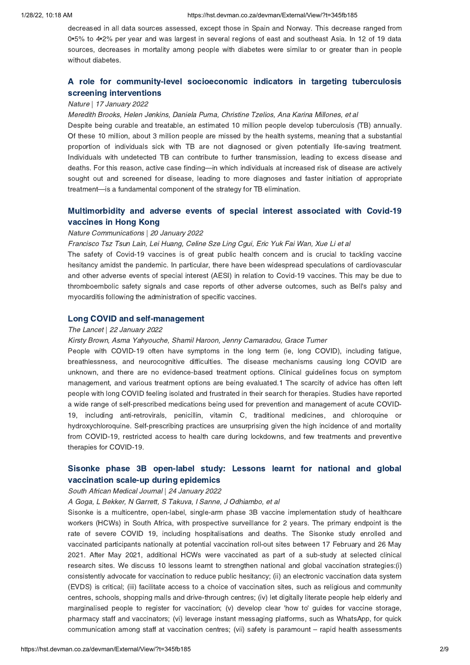decreased in all data sources assessed, except those in Spain and Norway. This decrease ranged from 0•5% to 4•2% per year and was largest in several regions of east and southeast Asia. In 12 of 19 data sources, decreases in mortality among people with diabetes were similar to or greater than in people without diabetes.

# A role for [community-level](https://hst.devman.co.za/devman/external/?t=3e135d91) socioeconomic indicators in targeting tuberculosis

## screening interventions<br>Nature | 17 January 2022

### Meredith Brooks, Helen Jenkins, Daniela Puma, Christine Tzelios, Ana Karina Millones, et al

Despite being curable and treatable, an estimated 10 million people develop tuberculosis (TB) annually. Of these 10 million, about 3 million people are missed by the health systems, meaning that a substantial proportion of individuals sick with TB are not diagnosed or given potentially life-saving treatment. Individuals with undetected TB can contribute to further transmission, leading to excess disease and deaths. For this reason, active case finding—in which individuals at increased risk of disease are actively sought out and screened for disease, leading to more diagnoses and faster initiation of appropriate treatment—is a fundamental component of the strategy for TB elimination.

# [Multimorbidity](https://hst.devman.co.za/devman/external/?t=47f19b72) and adverse events of special interest associated with Covid-19

## vaccines in Hong Kong Nature Communications | 20 January 2022

Francisco Tsz Tsun Lain, Lei Huang, Celine Sze Ling Cgui, Eric Yuk Fai Wan, Xue Li et al

The safety of Covid-19 vaccines is of great public health concern and is crucial to tackling vaccine hesitancy amidst the pandemic. In particular, there have been widespread speculations of cardiovascular and other adverse events of special interest (AESI) in relation to Covid-19 vaccines. This may be due to thromboembolic safety signals and case reports of other adverse outcomes, such as Bell's palsy and myocarditis following the administration of specific vaccines.

## Long COVID and self-management The Lancet | 22 January 2022

Kirsty Brown, Asma Yahyouche, Shamil Haroon, Jenny Camaradou, Grace Turner

People with COVID-19 often have symptoms in the long term (ie, long COVID), including fatigue, breathlessness, and neurocognitive difficulties. The disease mechanisms causing long COVID are unknown, and there are no evidence-based treatment options. Clinical guidelines focus on symptom management, and various treatment options are being evaluated.1 The scarcity of advice has often left people with long COVID feeling isolated and frustrated in their search for therapies. Studies have reported a wide range of self-prescribed medications being used for prevention and management of acute COVID-19, including anti-retrovirals, penicillin, vitamin C, traditional medicines, and chloroquine or hydroxychloroquine. Self-prescribing practices are unsurprising given the high incidence of and mortality from COVID-19, restricted access to health care during lockdowns, and few treatments and preventive therapies for COVID-19.

# Sisonke phase 3B [open-label](https://hst.devman.co.za/devman/external/?t=7ab74ca5) study: Lessons learnt for national and global

## vaccination scale-up during epidemics South African Medical Journal | 24 January 2022

### A Goga, L Bekker, N Garrett, S Takuva, I Sanne, J Odhiambo, et al

Sisonke is a multicentre, open-label, single-arm phase 3B vaccine implementation study of healthcare workers (HCWs) in South Africa, with prospective surveillance for 2 years. The primary endpoint is the rate of severe COVID 19, including hospitalisations and deaths. The Sisonke study enrolled and vaccinated participants nationally at potential vaccination roll-out sites between 17 February and 26 May 2021. After May 2021, additional HCWs were vaccinated as part of a sub-study at selected clinical research sites. We discuss 10 lessons learnt to strengthen national and global vaccination strategies:(i) consistently advocate for vaccination to reduce public hesitancy; (ii) an electronic vaccination data system (EVDS) is critical; (iii) facilitate access to a choice of vaccination sites, such as religious and community centres, schools, shopping malls and drive-through centres; (iv) let digitally literate people help elderly and marginalised people to register for vaccination; (v) develop clear 'how to' guides for vaccine storage, pharmacy staff and vaccinators; (vi) leverage instant messaging platforms, such as WhatsApp, for quick communication among staff at vaccination centres; (vii) safety is paramount – rapid health assessments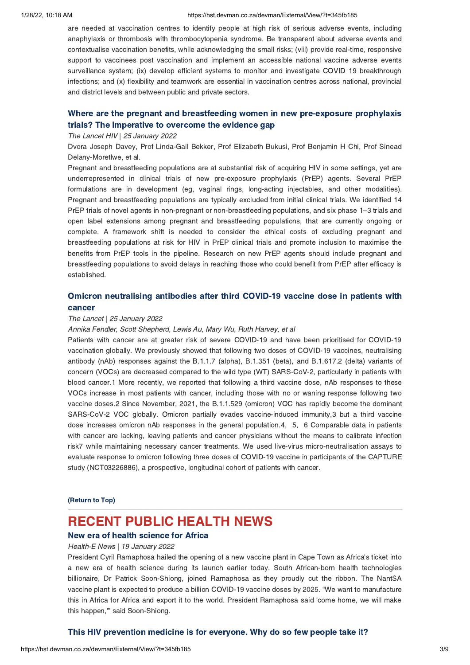### 1/28/22, 10:18 AM https://hst.devman.co.za/devman/External/View/?t=345fb185

are needed at vaccination centres to identify people at high risk of serious adverse events, including anaphylaxis or thrombosis with thrombocytopenia syndrome. Be transparent about adverse events and contextualise vaccination benefits, while acknowledging the small risks; (viii) provide real-time, responsive support to vaccinees post vaccination and implement an accessible national vaccine adverse events surveillance system; (ix) develop efficient systems to monitor and investigate COVID 19 breakthrough infections; and (x) flexibility and teamwork are essential in vaccination centres across national, provincial and district levels and between public and private sectors.

# Where are the pregnant and [breastfeeding](https://hst.devman.co.za/devman/external/?t=78ec2702) women in new pre-exposure prophylaxis trials? The imperative to overcome the evidence gap

## trials? The imperative to overcome the evidence gap The Lancet HIV | 25 January 2022

Dvora Joseph Davey, Prof Linda-Gail Bekker, Prof Elizabeth Bukusi, Prof Benjamin H Chi, Prof Sinead Delany-Moretlwe, et al.

Pregnant and breastfeeding populations are at substantial risk of acquiring HIV in some settings, yet are underrepresented in clinical trials of new pre-exposure prophylaxis (PrEP) agents. Several PrEP formulations are in development (eg, vaginal rings, long-acting injectables, and other modalities). Pregnant and breastfeeding populations are typically excluded from initial clinical trials. We identified 14 PrEP trials of novel agents in non-pregnant or non-breastfeeding populations, and six phase 1–3 trials and open label extensions among pregnant and breastfeeding populations, that are currently ongoing or complete. A framework shift is needed to consider the ethical costs of excluding pregnant and breastfeeding populations at risk for HIV in PrEP clinical trials and promote inclusion to maximise the benefits from PrEP tools in the pipeline. Research on new PrEP agents should include pregnant and breastfeeding populations to avoid delays in reaching those who could benefit from PrEP after efficacy is established.

# Cancer

## The Lancet | 25 January 2022

### Annika Fendler, Scott Shepherd, Lewis Au, Mary Wu, Ruth Harvey, et al

Patients with cancer are at greater risk of severe COVID-19 and have been prioritised for COVID-19 vaccination globally. We previously showed that following two doses of COVID-19 vaccines, neutralising antibody (nAb) responses against the B.1.1.7 (alpha), B.1.351 (beta), and B.1.617.2 (delta) variants of concern (VOCs) are decreased compared to the wild type (WT) SARS-CoV-2, particularly in patients with blood cancer.1 More recently, we reported that following a third vaccine dose, nAb responses to these VOCs increase in most patients with cancer, including those with no or waning response following two vaccine doses.2 Since November, 2021, the B.1.1.529 (omicron) VOC has rapidly become the dominant SARS-CoV-2 VOC globally. Omicron partially evades vaccine-induced immunity,3 but a third vaccine dose increases omicron nAb responses in the general population.4, 5, 6 Comparable data in patients with cancer are lacking, leaving patients and cancer physicians without the means to calibrate infection risk7 while maintaining necessary cancer treatments. We used live-virus micro-neutralisation assays to evaluate response to omicron following three doses of COVID-19 vaccine in participants of the CAPTURE study (NCT03226886), a prospective, longitudinal cohort of patients with cancer.

### (Return to Top)

## <span id="page-2-0"></span>**RECENT PUBLIC HEALTH NEWS**

### New era of health science for Africa

## New era of health science for Africa Health-E News | 19 January 2022

President Cyril Ramaphosa hailed the opening of a new vaccine plant in Cape Town as Africa's ticket into a new era of health science during its launch earlier today. South African-born health technologies billionaire, Dr Patrick Soon-Shiong, joined Ramaphosa as they proudly cut the ribbon. The NantSA vaccine plant is expected to produce a billion COVID-19 vaccine doses by 2025. "We want to manufacture this in Africa for Africa and export it to the world. President Ramaphosa said 'come home, we will make this happen,'" said Soon-Shiong.

 $T_{\rm eff}$  prevention medicine is for everyone. Why do so few people take it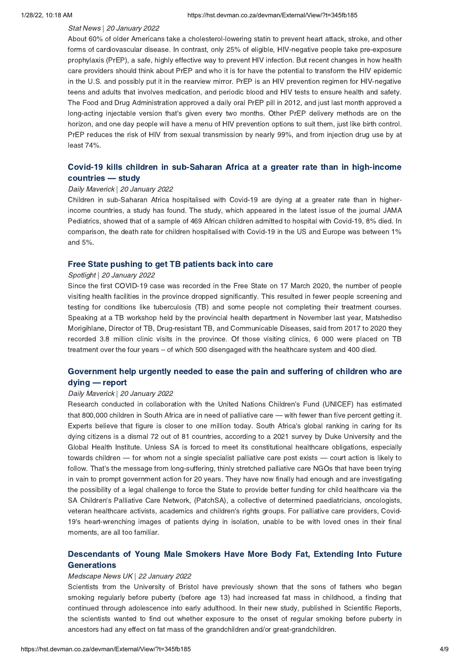### Stat News | 20 January 2022

About 60% of older Americans take a cholesterol-lowering statin to prevent heart attack, stroke, and other forms of cardiovascular disease. In contrast, only 25% of eligible, HIV-negative people take pre-exposure prophylaxis (PrEP), a safe, highly effective way to prevent HIV infection. But recent changes in how health care providers should think about PrEP and who it is for have the potential to transform the HIV epidemic in the U.S. and possibly put it in the rearview mirror. PrEP is an HIV prevention regimen for HIV-negative teens and adults that involves medication, and periodic blood and HIV tests to ensure health and safety. The Food and Drug Administration approved a daily oral PrEP pill in 2012, and just last month approved a long-acting injectable version that's given every two months. Other PrEP delivery methods are on the horizon, and one day people will have a menu of HIV prevention options to suit them, just like birth control. PrEP reduces the risk of HIV from sexual transmission by nearly 99%, and from injection drug use by at least 74%.

# Covid-19 kills children in [sub-Saharan](https://hst.devman.co.za/devman/external/?t=9961777e) Africa at a greater rate than in high-income countries — study Daily Maverick | 20 January 2022

Children in sub-Saharan Africa hospitalised with Covid-19 are dying at a greater rate than in higherincome countries, a study has found. The study, which appeared in the latest issue of the journal JAMA Pediatrics, showed that of a sample of 469 African children admitted to hospital with Covid-19, 8% died. In comparison, the death rate for children hospitalised with Covid-19 in the US and Europe was between 1% and 5%.

## Spotlight | 20 January 2022

Since the first COVID-19 case was recorded in the Free State on 17 March 2020, the number of people visiting health facilities in the province dropped significantly. This resulted in fewer people screening and testing for conditions like tuberculosis (TB) and some people not completing their treatment courses. Speaking at a TB workshop held by the provincial health department in November last year, Matshediso Morigihlane, Director of TB, Drug-resistant TB, and Communicable Diseases, said from 2017 to 2020 they recorded 3.8 million clinic visits in the province. Of those visiting clinics, 6 000 were placed on TB treatment over the four years – of which 500 disengaged with the healthcare system and 400 died.

# [Government](https://hst.devman.co.za/devman/external/?t=173927cc) help urgently needed to ease the pain and suffering of children who are dying — report

### Daily Maverick | 20 January 2022

Research conducted in collaboration with the United Nations Children's Fund (UNICEF) has estimated that 800,000 children in South Africa are in need of palliative care — with fewer than five percent getting it. Experts believe that figure is closer to one million today. South Africa's global ranking in caring for its dying citizens is a dismal 72 out of 81 countries, according to a 2021 survey by Duke University and the Global Health Institute. Unless SA is forced to meet its constitutional healthcare obligations, especially towards children — for whom not a single specialist palliative care post exists — court action is likely to follow. That's the message from long-suffering, thinly stretched palliative care NGOs that have been trying in vain to prompt government action for 20 years. They have now finally had enough and are investigating the possibility of a legal challenge to force the State to provide better funding for child healthcare via the SA Children's Palliative Care Network, (PatchSA), a collective of determined paediatricians, oncologists, veteran healthcare activists, academics and children's rights groups. For palliative care providers, Covid-19's heart-wrenching images of patients dying in isolation, unable to be with loved ones in their final moments, are all too familiar.

# [Descendants](https://hst.devman.co.za/devman/external/?t=211765ad) of Young Male Smokers Have More Body Fat, Extending Into Future

## Generations Medscape News UK | 22 January 2022

Scientists from the University of Bristol have previously shown that the sons of fathers who began smoking regularly before puberty (before age 13) had increased fat mass in childhood, a finding that continued through adolescence into early adulthood. In their new study, published in Scientific Reports, the scientists wanted to find out whether exposure to the onset of regular smoking before puberty in ancestors had any effect on fat mass of the grandchildren and/or great-grandchildren.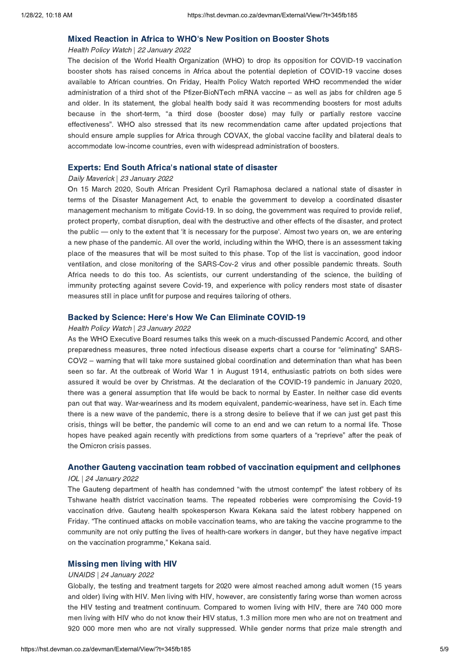## Mixed Reaction in Africa to WHO['](https://hst.devman.co.za/devman/external/?t=7e1274eb)s New Position on Booster Shots

### Health Policy Watch | 22 January 2022

The decision of the World Health Organization (WHO) to drop its opposition for COVID-19 vaccination booster shots has raised concerns in Africa about the potential depletion of COVID-19 vaccine doses available to African countries. On Friday, Health Policy Watch reported WHO recommended the wider administration of a third shot of the Pfizer-BioNTech mRNA vaccine – as well as jabs for children age 5 and older. In its statement, the global health body said it was recommending boosters for most adults because in the short-term, "a third dose (booster dose) may fully or partially restore vaccine effectiveness". WHO also stressed that its new recommendation came after updated projections that should ensure ample supplies for Africa through COVAX, the global vaccine facility and bilateral deals to accommodate low-income countries, even with widespread administration of boosters.

### Experts: End South Africa['](https://hst.devman.co.za/devman/external/?t=87f0b2cc)s national state of disaster

### Daily Maverick | 23 January 2022

On 15 March 2020, South African President Cyril Ramaphosa declared a national state of disaster in terms of the Disaster Management Act, to enable the government to develop a coordinated disaster management mechanism to mitigate Covid-19. In so doing, the government was required to provide relief, protect property, combat disruption, deal with the destructive and other effects of the disaster, and protect the public — only to the extent that 'it is necessary for the purpose'. Almost two years on, we are entering a new phase of the pandemic. All over the world, including within the WHO, there is an assessment taking place of the measures that will be most suited to this phase. Top of the list is vaccination, good indoor ventilation, and close monitoring of the SARS-Cov-2 virus and other possible pandemic threats. South Africa needs to do this too. As scientists, our current understanding of the science, the building of immunity protecting against severe Covid-19, and experience with policy renders most state of disaster measures still in place unfit for purpose and requires tailoring of others.

### Backed by Science: Here['](https://hst.devman.co.za/devman/external/?t=86258d29)s How We Can Eliminate COVID-19

### Health Policy Watch | 23 January 2022

As the WHO Executive Board resumes talks this week on a much-discussed Pandemic Accord, and other preparedness measures, three noted infectious disease experts chart a course for "eliminating" SARS-COV2 – warning that will take more sustained global coordination and determination than what has been seen so far. At the outbreak of World War 1 in August 1914, enthusiastic patriots on both sides were assured it would be over by Christmas. At the declaration of the COVID-19 pandemic in January 2020, there was a general assumption that life would be back to normal by Easter. In neither case did events pan out that way. War-weariness and its modern equivalent, pandemic-weariness, have set in. Each time there is a new wave of the pandemic, there is a strong desire to believe that if we can just get past this crisis, things will be better, the pandemic will come to an end and we can return to a normal life. Those hopes have peaked again recently with predictions from some quarters of a "reprieve" after the peak of the Omicron crisis passes.

# Another Gauteng vaccination team robbed of vaccination equipment and cellphones IOL | 24 January 2022

The Gauteng department of health has condemned "with the utmost contempt" the latest robbery of its Tshwane health district vaccination teams. The repeated robberies were compromising the Covid-19 vaccination drive. Gauteng health spokesperson Kwara Kekana said the latest robbery happened on Friday. "The continued attacks on mobile vaccination teams, who are taking the vaccine programme to the community are not only putting the lives of health-care workers in danger, but they have negative impact on the vaccination programme," Kekana said.

## Missing men living with HIV UNAIDS | 24 January 2022

Globally, the testing and treatment targets for 2020 were almost reached among adult women (15 years and older) living with HIV. Men living with HIV, however, are consistently faring worse than women across the HIV testing and treatment continuum. Compared to women living with HIV, there are 740 000 more men living with HIV who do not know their HIV status, 1.3 million more men who are not on treatment and 920 000 more men who are not virally suppressed. While gender norms that prize male strength and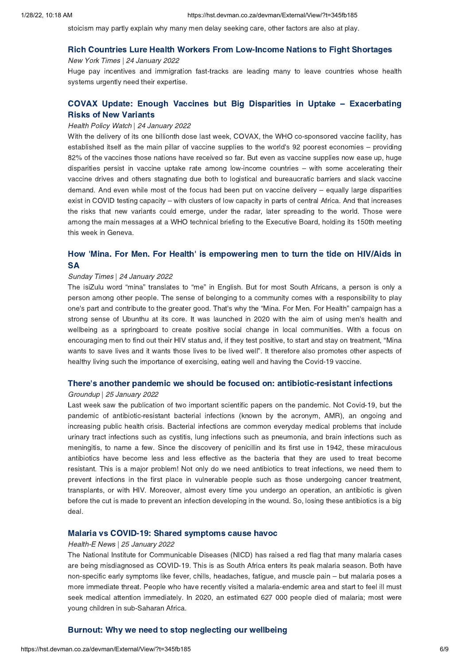stoicism may partly explain why many men delay seeking care, other factors are also at play.

# Rich Countries Lure Health Workers From Low-Income Nations to Fight Shortages New York Times | 24 January 2022

Huge pay incentives and immigration fast-tracks are leading many to leave countries whose health systems urgently need their expertise.

# COVAX Update: Enough Vaccines but Big Disparities in Uptake – [Exacerbating](https://hst.devman.co.za/devman/external/?t=a69adda5)

## Risks of New Variants Health Policy Watch | 24 January 2022

With the delivery of its one billionth dose last week, COVAX, the WHO co-sponsored vaccine facility, has established itself as the main pillar of vaccine supplies to the world's 92 poorest economies – providing 82% of the vaccines those nations have received so far. But even as vaccine supplies now ease up, huge disparities persist in vaccine uptake rate among low-income countries – with some accelerating their vaccine drives and others stagnating due both to logistical and bureaucratic barriers and slack vaccine demand. And even while most of the focus had been put on vaccine delivery – equally large disparities exist in COVID testing capacity – with clusters of low capacity in parts of central Africa. And that increases the risks that new variants could emerge, under the radar, later spreading to the world. Those were among the main messages at a WHO technical briefing to the Executive Board, holding its 150th meeting this week in Geneva.

# How 'Mina. For Men. For Health' is [empowering](https://hst.devman.co.za/devman/external/?t=b0791a86) men to turn the tide on HIV/Aids in

## Sunday Times | 24 January 2022

The isiZulu word "mina" translates to "me" in English. But for most South Africans, a person is only a person among other people. The sense of belonging to a community comes with a responsibility to play one's part and contribute to the greater good. That's why the "Mina. For Men. For Health" campaign has a strong sense of Ubunthu at its core. It was launched in 2020 with the aim of using men's health and wellbeing as a springboard to create positive social change in local communities. With a focus on encouraging men to find out their HIV status and, if they test positive, to start and stay on treatment, "Mina wants to save lives and it wants those lives to be lived well". It therefore also promotes other aspects of healthy living such the importance of exercising, eating well and having the Covid-19 vaccine.

## There['](https://hst.devman.co.za/devman/external/?t=24728df3)s another pandemic we should be focused on: antibiotic-resistant infections

### Groundup | 25 January 2022

Last week saw the publication of two important scientific papers on the pandemic. Not Covid-19, but the pandemic of antibiotic-resistant bacterial infections (known by the acronym, AMR), an ongoing and increasing public health crisis. Bacterial infections are common everyday medical problems that include urinary tract infections such as cystitis, lung infections such as pneumonia, and brain infections such as meningitis, to name a few. Since the discovery of penicillin and its first use in 1942, these miraculous antibiotics have become less and less effective as the bacteria that they are used to treat become resistant. This is a major problem! Not only do we need antibiotics to treat infections, we need them to prevent infections in the first place in vulnerable people such as those undergoing cancer treatment, transplants, or with HIV. Moreover, almost every time you undergo an operation, an antibiotic is given before the cut is made to prevent an infection developing in the wound. So, losing these antibiotics is a big deal.

## Malaria vs COVID-19: Shared symptoms cause havoc Health-E News | 25 January 2022

The National Institute for Communicable Diseases (NICD) has raised a red flag that many malaria cases are being misdiagnosed as COVID-19. This is as South Africa enters its peak malaria season. Both have non-specific early symptoms like fever, chills, headaches, fatigue, and muscle pain – but malaria poses a more immediate threat. People who have recently visited a malaria-endemic area and start to feel ill must seek medical attention immediately. In 2020, an estimated 627 000 people died of malaria; most were young children in sub-Saharan Africa.

# Burnout: Why we need to stop neglecting our wellbeing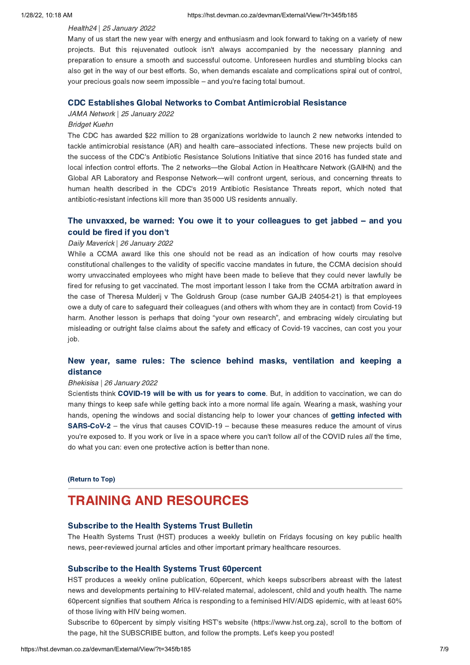### Health24 | 25 January 2022

Many of us start the new year with energy and enthusiasm and look forward to taking on a variety of new projects. But this rejuvenated outlook isn't always accompanied by the necessary planning and preparation to ensure a smooth and successful outcome. Unforeseen hurdles and stumbling blocks can also get in the way of our best efforts. So, when demands escalate and complications spiral out of control, your precious goals now seem impossible – and you're facing total burnout.

## CDC Establishes Global Networks to Combat Antimicrobial Resistance JAMA Network | 25 January 2022

### Bridget Kuehn

The CDC has awarded \$22 million to 28 organizations worldwide to launch 2 new networks intended to tackle antimicrobial resistance (AR) and health care–associated infections. These new projects build on the success of the CDC's Antibiotic Resistance Solutions Initiative that since 2016 has funded state and local infection control efforts. The 2 networks—the Global Action in Healthcare Network (GAIHN) and the Global AR Laboratory and Response Network—will confront urgent, serious, and concerning threats to human health described in the CDC's 2019 Antibiotic Resistance Threats report, which noted that antibiotic-resistant infections kill more than 35 000 US residents annually.

# The unvaxxed, be warned: You owe it to your [colleagues](https://hst.devman.co.za/devman/external/?t=932af264) to get jabbed – and you

# could be fired if you don't Daily Maverick | 26 January 2022

While a CCMA award like this one should not be read as an indication of how courts may resolve constitutional challenges to the validity of specific vaccine mandates in future, the CCMA decision should worry unvaccinated employees who might have been made to believe that they could never lawfully be fired for refusing to get vaccinated. The most important lesson I take from the CCMA arbitration award in the case of Theresa Mulderij v The Goldrush Group (case number GAJB 24054-21) is that employees owe a duty of care to safeguard their colleagues (and others with whom they are in contact) from Covid-19 harm. Another lesson is perhaps that doing "your own research", and embracing widely circulating but misleading or outright false claims about the safety and efficacy of Covid-19 vaccines, can cost you your job.

# New year, same rules: The science behind masks, [ventilation](https://hst.devman.co.za/devman/external/?t=9d092f45) and keeping a

## distance Bhekisisa | 26 January 2022

Scientists think COVID-19 will be with us for years to come. But, in addition to vaccination, we can do Scientists think **COVID-19 will be with us for years to come**[.](https://hst.devman.co.za/devman/external/?t=ab8d2aa2) But, in addition to vaccination, we can do<br>many things to keep safe while getting back into a more normal life again. Wearing a mask, washing your hands, opening the windows and social distancing help to lower your chances of getting infected with SARS-CoV-2 – the virus that causes [COVID-19](https://hst.devman.co.za/devman/external/?t=b56b6883) – because these measures reduce the amount of virus<br>vou're exposed to If you work or live in a space where you can't follow all of the COVID rules all the time you're exposed to. If you work or live in a space where you can't follow all of the COVID rules all the time, do what you can: even one protective action is better than none.

### (Return to Top)

## <span id="page-6-0"></span>**TRAINING AND RESOURCES**

### **Subscribe to the Health Systems Trust Bulletin**

Subscribe to the Health Systems Trust Bulletin The Health Systems Trust (HST) produces a weekly bulletin on Fridays focusing on key public health news, peer-reviewed journal articles and other important primary healthcare resources.

Subscribe to the Health Systems Trust 60percent HST produces a weekly online publication, 60percent, which keeps subscribers abreast with the latest news and developments pertaining to HIV-related maternal, adolescent, child and youth health. The name 60percent signifies that southern Africa is responding to a feminised HIV/AIDS epidemic, with at least 60% of those living with HIV being women.

Subscribe to 60percent by simply visiting HST's website (https://www.hst.org.za), scroll to the bottom of the page, hit the SUBSCRIBE button, and follow the prompts. Let's keep you posted!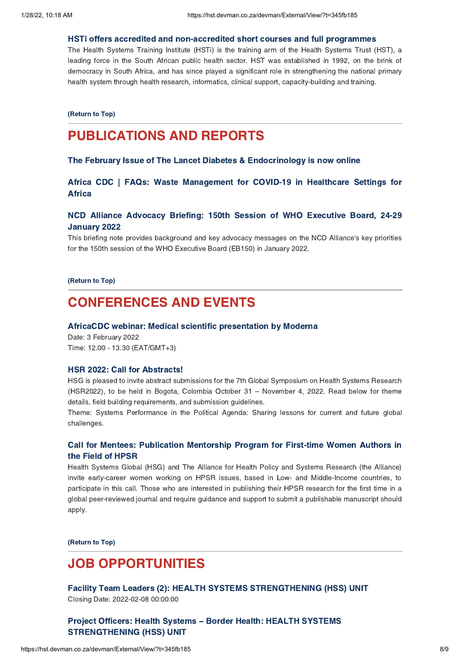The Health Systems Training Institute (HSTi) is the training arm of the Health Systems Trust (HST), a leading force in the South African public health sector. HST was established in 1992, on the brink of democracy in South Africa, and has since played a significant role in strengthening the national primary health system through health research, informatics, clinical support, capacity-building and training.

(Return to Top)

## **PUBLICATIONS AND REPORTS**

## The February Issue of The Lancet Diabetes & Endocrinology is now online  $T_{\rm T}$  and  $T_{\rm T}$  is the Lancet Diabetes  $T_{\rm T}$  is not only only only only only  $T_{\rm T}$

Africa CDC | FAQs: Waste [Management](https://hst.devman.co.za/devman/external/?t=3b56310f) for COVID-19 in Healthcare Settings for Africa

# Number 2022 Briefing: 150th Session of WHO Executive Board, 2022

This briefing note provides background and key advocacy messages on the NCD Alliance's key priorities for the 150th session of the WHO Executive Board (EB150) in January 2022.

(Return to Top)

# <span id="page-7-0"></span>**CONFERENCES AND EVENTS**

### AfricaCDC webinar: Medical scientific presentation by Moderna

Date: 3 February 2022 Time: 12.00 - 13.30 (EAT/GMT+3)

HSR 2022: Call for Abstracts! HSG is pleased to invite abstract submissions for the 7th Global Symposium on Health Systems Research (HSR2022), to be held in Bogota, Colombia October 31 – November 4, 2022. Read below for theme details, field building requirements, and submission guidelines.

Theme: Systems Performance in the Political Agenda: Sharing lessons for current and future global challenges.

# Call for Mentees: [Publication](https://hst.devman.co.za/devman/external/?t=9b497a94) Mentorship Program for First-time Women Authors in

the Field of HPSR Health Systems Global (HSG) and The Alliance for Health Policy and Systems Research (the Alliance) invite early-career women working on HPSR issues, based in Low- and Middle-Income countries, to participate in this call. Those who are interested in publishing their HPSR research for the first time in a global peer-reviewed journal and require guidance and support to submit a publishable manuscript should apply.

(Return to Top)

# <span id="page-7-1"></span>**JOB OPPORTUNITIES**

Facility Team Leaders (2): HEALTH SYSTEMS STRENGTHENING (HSS) UNIT Facility Team Leaders (1999)<br>Closing Date: 2022-02-08 00:00:00

Project Officers: Health Systems – Border Health: HEALTH [SYSTEMS](https://hst.devman.co.za/devman/external/?t=b3abb3d2)<br>STRENGTHENING (HSS) UNIT